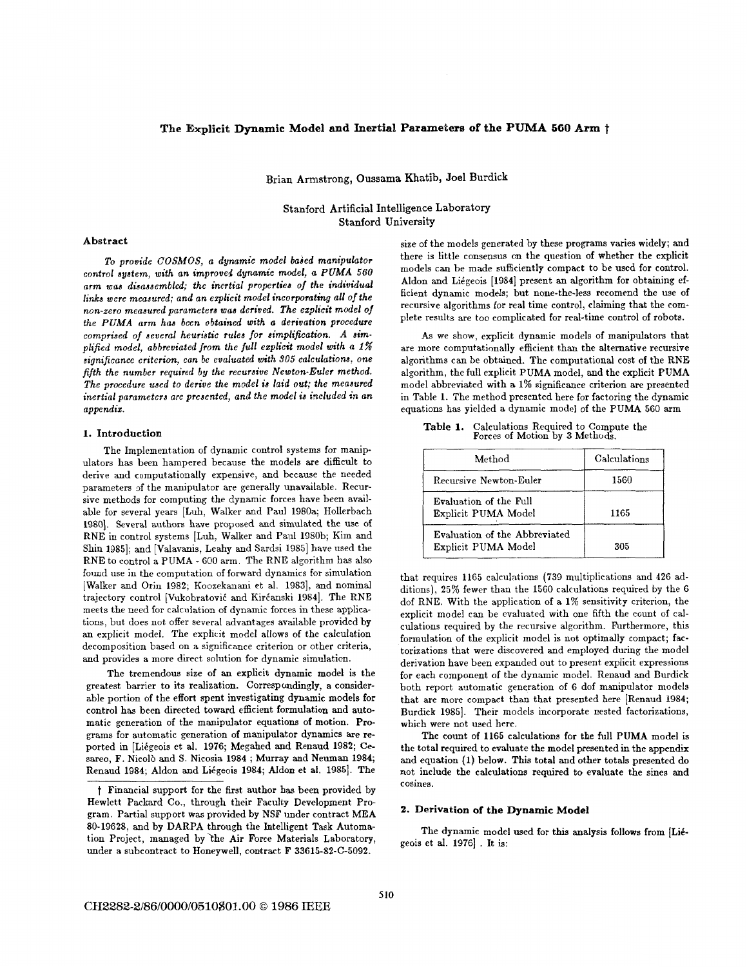# The Explicit Dynamic Model **and** Inertial Parameters **of** the **PUMA** *566* **Am** t

Brian Armstrong, **Oussama** Khatib, Joel Burdick

**Stanford** Artificial Intelligence Laboratory **Stanford** University

### Abstract

**To provide** *COSMOS,* **a dynamic model baaed manipulator control system, with an improved dynamic model, a** *PUMA* **560 arm waa diaaaaembled; the inertial propertiea** of **the individual**  *links* **were meaaured; and an ezplicit model incorporating all ofthe non-zero meaaured parametera waa deriued. The ezplicit model** of **the** *PUMA* **arm has been obtained with a derivation procedure comprised of aeveral heuristic rulea for simplification.** *A* **aimplijied model, abbreviated from the** *full* **ezplicit model with** *a 1%*  **aignijicance criterion, can be evaluated with 305 calculationa, one fifth the number required by the recuraive Newton-Euler method. The procedure used to derive the model** *ia* **laid out; the meaaured inertial parametera are preaented, and the model** *ia* **included** *in* **an appendiz.** 

## **1.** Introduction

The Implementation of dynamic control systems for manipulators has been hampered because the models are difficult to derive and computationally expensive, and because the needed parameters of the manipulator are generally unavailable. Recursive methods for computing the dynamic forces have been available for several years [Luh, Walker and Paul 1980a; Hollerbach 1980]. Several authors have proposed and simulated the use of RNE in control systems [Luh, Walker and Paul 1980b; Kim and Shin 1985]; and [Valavanis, Leahy and Sardsi 1985] have used the RNE to control a PUMA - 600 arm. The RNE algorithm has also found use in the computation of forward dynamics for simulation [Walker and Orin 1982; Koozekanani et al. 19831, and nominal trajectory control [Vukobratović and Kirćanski 1984]. The RNE meets the need for calculation of dynamic forces in these applications, but does not offer several advantages available provided by an explicit model. The explicit model allows of the calculation decomposition based on a significance criterion or other criteria, and provides a more direct solution **for** dynamic simulation.

The tremendous size of **an** explicit dynamic model is the greatest barrier to its realization. Correspondingly, a considerable portion of the effort spent investigating dynamic models for control has been directed toward efficient formulation and automatic generation of the manipulator equations of motion. Programs for automatic generation of manipulator dynamics are reported in [Liégeois et al. 1976; Megahed and Renaud 1982; Cesareo, F. Nicolò and S. Nicosia 1984; Murray and Neuman 1984; Renaud 1984; Aldon and Liégeois 1984; Aldon et al. 1985]. The

size of the models generated by these programs varies widely; and there is little consensus on the question of whether the explicit models can be made sufficiently compact to be used for control. Aldon and Likgeois [1984] present an algorithm **for** obtaining efficient dynamic models; but none-the-less recomend the use of recursive algorithms for real time control, claiming that the complete results are too complicated for real-time control of robots.

As we show, explicit dynamic models of manipulators that are more computationally efficient than the alternative recursive algorithms can be obtained. The computational cost of the RNE algorithm, the full explicit PUMA model, and the explicit PWMA model abbreviated with a 1% significance criterion are presented in Table 1. The method presented here for factoring the dynamic equations has yielded a dynamic model of the PUMA 560 arm

**Table 1.** Calculations Required to Compute the Forces of Motion by 3 Methods.

| Method                                               | Calculations |
|------------------------------------------------------|--------------|
| Recursive Newton-Euler                               | 1560         |
| Evaluation of the Full<br>Explicit PUMA Model        | 1165         |
| Evaluation of the Abbreviated<br>Explicit PUMA Model | 305          |

that requires 1165 calculations (739 multiplications and 426 additions), 25% fewer than the 1560 calculations required by the 6 dof RNE. With the application of a 1% sensitivity criterion, the explicit model can be evaluated with one fifth the count of calculations required by the recursive algorithm. Furthermore, this formulation of the explicit model is not optimally compact; factorizations that were discovered and employed during the model derivation have been expanded out to present explicit expressions for each component of the dynamic model. Renaud and Burdick both report automatic generation of 6 dof manipulator models that are more compact than that presented here [Renaud 1984; Burdick 1985]. Their models incorporate nested factorizations, which were not used here.

The count of 1165 calculations for the **full** PUMA model is the total required to evaluate the model presented in the appendix and equation (1) below. This total and other totals presented do not include the calculations required **to** evaluate the sines and cosines.

### **2.** Derivation **of the** Dynamic **Model**

The dynamic model used for this analysis follows from [Liegeois et al. 1976]. It is:

t Financial support for the first author has been provided by Hewlett Packard Co., through their Faculty Development Program. Partial support was provided by NSF under contract MEA 80-19628, and by DARPA through the Intelligent Task Automation Project, managed by the Air Force Materials Laboratory, under a subcontract to HoneywelI, contract **F** 33615-82-C-5092.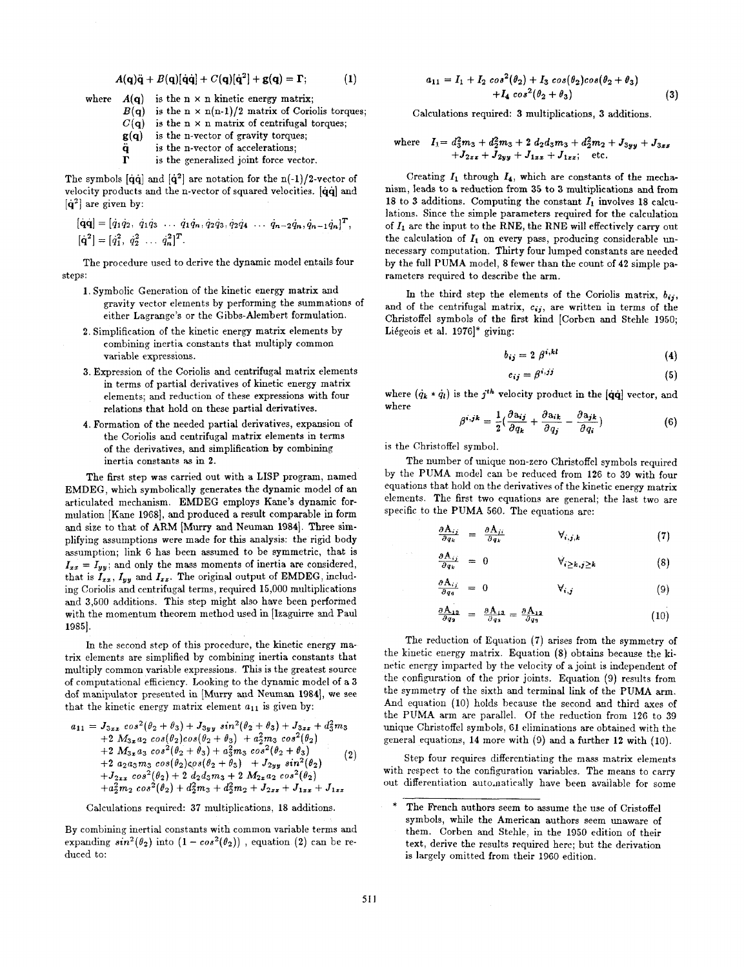$$
A(\mathbf{q})\ddot{\mathbf{q}} + B(\mathbf{q})[\dot{\mathbf{q}}\dot{\mathbf{q}}] + C(\mathbf{q})[\dot{\mathbf{q}}^2] + \mathbf{g}(\mathbf{q}) = \mathbf{\Gamma}; \tag{1}
$$

- where  $A(q)$  is the  $n \times n$  kinetic energy matrix;
	- $B(q)$  is the  $n \times n(n-1)/2$  matrix of Coriolis torques;
	- $C(q)$  is the  $n \times n$  matrix of centrifugal torques;
	- **g(q)** is the n-vector of gravity torques;
	- **q** is the n-vector of accelerations;
	- **r** is the generalized joint force vector.

The symbols  $[\dot{q}\dot{q}]$  and  $[\dot{q}^2]$  are notation for the n(-1)/2-vector of velocity products and the n-vector of squared velocities. [qq] and **[q2]** are given by:

$$
\begin{aligned}\n[\dot{\mathbf{q}}\dot{\mathbf{q}}] &= [\dot{q}_1\dot{q}_2, \ \dot{q}_1\dot{q}_3 \ \cdots \ \dot{q}_1\dot{q}_n, \dot{q}_2\dot{q}_3, \dot{q}_2\dot{q}_4 \ \cdots \ \dot{q}_{n-2}\dot{q}_n, \dot{q}_{n-1}\dot{q}_n]^T, \\
[\dot{\mathbf{q}}^2] &= [\dot{q}_1^2, \ \dot{q}_2^2 \ \cdots \ \dot{q}_n^2]^T.\n\end{aligned}
$$

The procedure used to derive the dynamic model entails four steps:

- 1. Symbolic Generation of the kinetic energy matrix and gravity vector elements by performing the summations of either Lagrange's or the Gibbs-Alembert formulation.
- **2.** Simplification of the kinetic energy matrix elements by combining inertia constants that multiply common variable expressions.
- **3.** Expression of the Coriolis and centrifugal matrix elements in terms of partial derivatives of kinetic energy matrix elements; and reduction of these expressions with four relations that hold on these partial derivatives.
- 4. Formation of the needed partial derivatives, expansion of the Coriolis and centrifugal matrix elements in terms of the derivatives, and simplification by combining inertia constants **as** in **2.**

The first step was carried out with a LISP program, named EMDEG, which symbolically generates the dynamic model of an articulated mechanism. EMDEG employs Kane's dynamic formulation [Kane 1968], and produced a result comparable in form and size to that of ARM [Murry and Neuman 1984]. Three simplifying assumptions were made for this analysis: the rigid body assumption; link 6 has been assumed to be symmetric, that is  $I_{xx} = I_{yy}$ ; and only the mass moments of inertia are considered, that is  $I_{xx}$ ,  $I_{yy}$  and  $I_{zz}$ . The original output of EMDEG, including Coriolis and centrifugal terms, required 15,000 multiplications and **3,500** additions. This step might also have been performed with the momentum theorem method used in [lzaguirre and Paul 19851.

In the second step of this procedure, the kinetic energy matrix elements are simplified by combining inertia constants that multiply common variable expressions. This is the greatest source of computational efficiency. Looking to the dynamic model of a **3**  dof manipulator presented in [Murry and Neuman **19841,** we see that the kinetic energy matrix element *a11* is given by:

$$
a_{11} = J_{3xz} cos^{2}(\theta_{2} + \theta_{3}) + J_{3yy} sin^{2}(\theta_{2} + \theta_{3}) + J_{3zz} + d_{3}^{2}m_{3} + 2 M_{3z} a_{2} cos(\theta_{2})cos(\theta_{2} + \theta_{3}) + a_{2}^{2}m_{3} cos^{2}(\theta_{2}) + 2 M_{3z} a_{3} cos^{2}(\theta_{2} + \theta_{3}) + a_{3}^{2}m_{3} cos^{2}(\theta_{2} + \theta_{3}) + 2 a_{2} a_{3}m_{3} cos(\theta_{2})cos(\theta_{2} + \theta_{3}) + J_{2yy} sin^{2}(\theta_{2}) + J_{2zz} cos^{2}(\theta_{2}) + 2 d_{2} d_{3}m_{3} + 2 M_{2z} a_{2} cos^{2}(\theta_{2}) + a_{2}^{2}m_{2} cos^{2}(\theta_{2}) + d_{2}^{2}m_{3} + d_{2}^{2}m_{2} + J_{2zz} + J_{1zz} + J_{1zz}
$$

Calculations required: **37** multiplications, 18 additions.

By combining inertial constants with common variable terms and expanding  $sin^2(\theta_2)$  into  $(1 - cos^2(\theta_2))$ , equation (2) can be reduced to:

$$
a_{11} = I_1 + I_2 \cos^2(\theta_2) + I_3 \cos(\theta_2)\cos(\theta_2 + \theta_3) + I_4 \cos^2(\theta_2 + \theta_3)
$$
 (3)

Calculations required: **3** multiplications, **3** additions.

where 
$$
I_1 = d_3^2 m_3 + d_2^2 m_3 + 2 d_2 d_3 m_3 + d_2^2 m_2 + J_{3yy} + J_{3zz} + J_{2zz} + J_{2yy} + J_{1zz} + J_{1zz}
$$
; etc.

Creating  $I_1$  through  $I_4$ , which are constants of the mechanism, leads to a reduction from 35 to 3 multiplications and from 18 to **3** additions. Computing the constant *Z1* involves 18 calculations. Since the simple parameters required for the calculation of  $I_1$  are the input to the RNE, the RNE will effectively carry out the calculation of  $I_1$  on every pass, producing considerable unnecessary computation. Thirty four lumped constants are needed by the full PUMA model, 8 fewer than the count of **42** simple parameters required to describe the arm.

In the third step the elements of the Coriolis matrix,  $b_{ij}$ , and of the centrifugal matrix,  $c_{ij}$ , are written in terms of the Christoffel symbols of the first kind [Corben and Stehle 1950; Likgeois et al. 1976]\* giving:

$$
b_{ij} = 2 \beta^{i,kl} \tag{4}
$$

$$
c_{ij} = \beta^{i,jj} \tag{4}
$$

$$
c_{ij} = \beta^{i,jj} \tag{5}
$$

where  $(\dot{q}_k * \dot{q}_l)$  is the *j<sup>th</sup>* velocity product in the  $[\dot{q}\dot{q}]$  vector, and where

$$
\beta^{i,jk} = \frac{1}{2} \left( \frac{\partial a_{ij}}{\partial q_k} + \frac{\partial a_{ik}}{\partial q_j} - \frac{\partial a_{jk}}{\partial q_i} \right) \tag{6}
$$

is the Christoffel symbol.

The number of unique non-zero Christoffel symbols required by the PUMA model can be reduced from 126 to **39** with four equations that hold on the derivatives of the kinetic energy matrix elements. The first two equations are general; the last two are specific to the PUMA 560. The equations are:

$$
\frac{\partial A_{ij}}{\partial q_k} = \frac{\partial A_{ji}}{\partial q_k} \qquad \qquad \forall_{i,j,k} \tag{7}
$$

$$
\frac{A_{ij}}{q_k} = 0 \qquad \forall_{i \geq k, j \geq k} \qquad (8)
$$

$$
\frac{\partial A_{ij}}{\partial q_0} = 0 \qquad \qquad \forall i,j \tag{9}
$$

$$
\frac{\partial \mathbf{A}_{13}}{\partial q_2} = \frac{\partial \mathbf{A}_{13}}{\partial q_3} = \frac{\partial \mathbf{A}_{12}}{\partial q_3} \tag{10}
$$

The reduction of Equation **(7)** arises from the symmetry of the kinetic energy matrix. Equation (8) obtains because the kinetic energy imparted by the velocity of a joint is independent of the configuration of the prior joints. Equation (9) results from the symmetry of the sixth and terminal link of the PUMA arm. And equation (10) holds because the second and third axes of the PUMA arm are parallel. Of the reduction from **126** to **39**  unique Christoffel symbols, 61 eliminations are obtained with the general equations, 14 more with **(9)** and a further **12** with (10).

Step four requires differentiating the mass matrix elements with respect to the configuration variables. The means to carry out differentiation auto,natically have been available for some

The French authors seem to assume the use of Cristoffel symbols, while the American authors seem unaware of them. Corben and Stehle, in the 1950 edition of their text, derive the results required here; but the derivation is largely omitted from their 1960 edition.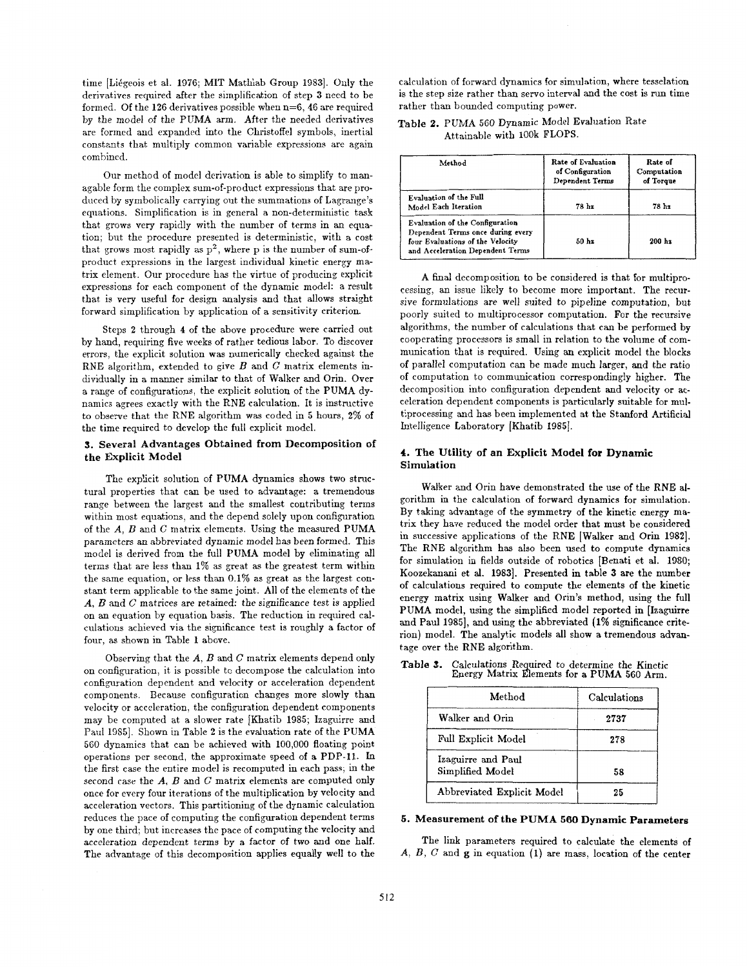time [Liégeois et al. 1976; MIT Mathlab Group 1983]. Only the derivatives required after the simplification of step **3** need *to* be formed. Of the 126 derivatives possible when n=6, 46 are required by the model of the PUMA arm. After the needed derivatives are formed and expanded into the Christoffel symbols, inertial constants that multiply common variable expressions are again combined.

Our method of model derivation is able to simplify to managable form the complex sum-of-product expressions that are produced by synlbolically carrying out the summations of Lagrange's equations. Simplification is in general a non-deterministic task that grows very rapidly with the number of terms in an equation; but the procedure presented is deterministic, with a cost that grows most rapidly as  $p^2$ , where p is the number of sum-ofproduct expressions in the largest individual kinetic energy matrix element. Our procedure has the virtue of producing explicit expressions for each component of the dynamic model: a result that is very useful for design analysis and that allows straight forward simplification by application of a sensitivity criterion.

Steps 2 through 4 of the above procedure were carried out by hand, requiring five weeks of rather tedious labor. To discover errors, the explicit solution was numerically checked against the RNE algorithm, extended to give *B* and *C* matrix elements individually in a manner similar to that of Walker and Orin. Over a range of configurations, the explicit solution of the PUMA dynamics agrees exactly with the RNE calculation. It is instructive to observe that the RNE algorithm was coded in 5 hours, **2%** of the time required to develop the full explicit model.

## **3. Several Advantages Obtained from Decomposition of the Explicit Model**

The explicit solution of PUMA dynamics shows two structural properties that can be used to advantage: a tremendous range between the largest and the smallest contributing terms within most equations, and the depend solely upon configuration of the *A,* **13** and *C* matrix elements. Using the measured PUMA parameters an abbreviated dynamic model has been formed. This model is derived from the full PUMA model by eliminating all terms that are less than **1%** as great as the greatest term within the same equation, or less than 0.1% as great as the largest constant term applicable to the same joint. All of the elements of the *A, 13* and *G* matrices are retained: the significance test is applied on an equation by equation basis. The reduction in required calculations achieved via the significance test is roughly a factor of four, as shown in Table **1** above.

Observing that the *A, B* and *C* matrix elements depend only on configuration, it is possible to decompose the calculation into configuration dependent and velocity or acceleration dependent components. Because configuration changes more slowly than velocity or acceleration, the configuration dependent components may be computed at a slower rate [Khatib 1985; Izaguirre and Paul 1985]. Shown in Table 2 is the evaluation rate of the PUMA 560 dynamics that can be achieved with 100,000 floating point operations per second, the approximate speed of a PDP-11. In the first case the entire model is recomputed in each pass; in the second case the  $A$ ,  $B$  and  $C$  matrix elements are computed only once for every four iterations of the multiplication by velocity and acceleration vectors. This partitioning of the dynamic calculation reduces the pace of computing the configuration dependent terms by one third; but increases the pace of computing the velocity and acceleration dependent terms by a factor of two and one half. The advantage of this decomposition applies equally well to the

calculation of forward dynamics for simulation, where tesselation is the step size rather than servo interval and the cost is run time rather than bounded computing power.

Table 2. PUMA 560 Dynamic Model Evaluation Rate Attainable with 1OOk **FLOPS.** 

| Method                                                                                                                                       | Rate of Evaluation<br>of Configuration<br>Dependent Terms | Rate of<br>Computation<br>of Torque |
|----------------------------------------------------------------------------------------------------------------------------------------------|-----------------------------------------------------------|-------------------------------------|
| Evaluation of the Full<br>Model Each Iteration                                                                                               | 78 hz                                                     | 78 hz                               |
| Evaluation of the Configuration<br>Dependent Terms once during every<br>four Evaluations of the Velocity<br>and Acceleration Dependent Terms | 50 <sub>hz</sub>                                          | $200 h$ z                           |

A final decomposition to be considered is that for multiprocessing, an issue likely to become more important. The recursive formulations are well suited to pipeline computation, but poorly suited to multiprocessor computation. For the recursive algorithms, the number of calculations that can be performed by cooperating processors is small in relation to the volume of communication that is required. Using **an** explicit model the blocks of parallel computation can be made much larger, and the ratio of computation to communication correspondingly higher. The decomposition into configuration dependent and velocity or acceleration dependent components is particularly suitable for multiprocessing and has been implemented at the Stanford Artificial Intelligence Laboratory [Khatib 1985].

## **4. The Utility of an Explicit Model for Dynamic Simulation**

Walker and Orin have demonstrated the use of the RNE atgorithm in the calculation of forward dynamics for simulation. By taking advantage of the symmetry of the kinetic energy matrix they have reduced the model order that must be considered in successive applications of the RNE [Walker and Orin 1982]. The RNE algorithm has also been used to compute dynamics for simulation in fields outside of robotics [Benati et al. **1980;**  Koozekanani et al. **19831.** Presented in table **3** are the number of calculations required to compute the elements of the kinetic energy matrix using Walker and Orin's method, using the full PUMA model, using the simplified model reported in [Izaguirre and Paul 1985], and using the abbreviated (1% significance criterion) model. The analytic models all show a tremendous advantage over the RNE algorithm.

| Method                                 | Calculations |
|----------------------------------------|--------------|
| Walker and Orin                        | 2737         |
| Full Explicit Model                    | 278          |
| Izaguirre and Paul<br>Simplified Model | 58           |
| Abbreviated Explicit Model             | 25           |

| Table 3. | Calculations Required to determine the Kinetic |
|----------|------------------------------------------------|
|          | Energy Matrix Elements for a PUMA 560 Arm.     |

## **5. Measurement of the PUMA** *560* **Dynamic Parameters**

The link parameters required to calculate the elements of *A, B, C* and *g* in equation (1) are mass, location of the center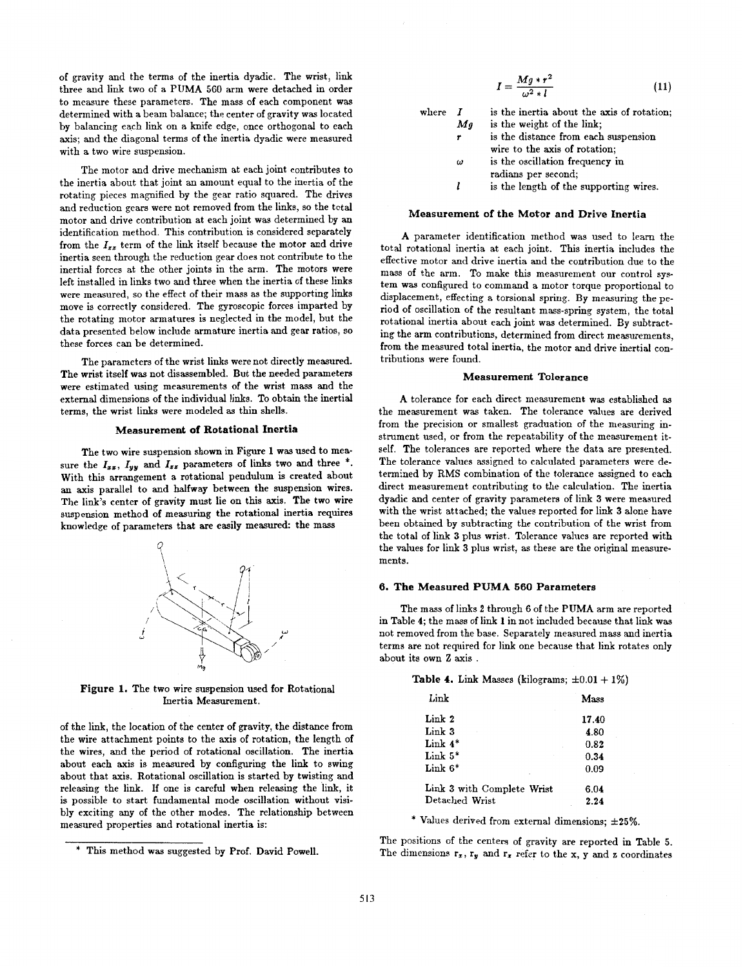of gravity and the terms of the inertia dyadic. The wrist, link three and link two of a PUMA 560 arm were detached in order to measure these parameters. The mass of each component was determined with a beam balance; the center of gravity was located by balancing each link on a knife edge, once orthogonal to each axis; and the diagonal terms of the inertia dyadic were measured with a two wire suspension.

The motor and drive mechanism at each joint contributes to the inertia about that joint an amount equal to the inertia of the rotating pieces magnified by the gear ratio squared. The drives and reduction gears were not removed from the links, so the total motor and drive contribution at each joint was determined by an identification method. This contribution is considered separately from the  $I_{zz}$  term of the link itself because the motor and drive inertia seen through the reduction gear does not contribute to the inertial forces at the other joints in the arm. The motors were left installed in links two and three when the inertia of these links were measured, so the effect of their mass as the supporting links move is correctly considered. The gyroscopic forces imparted by the rotating motor armatures is neglected in the model, but the data presented below include armature inertia and gear ratios, so these forces can be determined.

The parameters of the wrist links were not directly measured. The wrist itself was not disassembled. But the needed parameters were estimated using measurements of the wrist mass and the external dimensions of the individual links. To obtain the inertial terms, the wrist links were modeled **as** thin shells.

### **Measurement of Rotational Inertia**

The two wire suspension shown in Figure **1** was used to measure the  $I_{xx}$ ,  $I_{yy}$  and  $I_{zz}$  parameters of links two and three  $*$ . With this arrangement a rotational pendulum is created about an axis parallel to and halfway between the suspension wires. The link's center of gravity must lie on this axis. The two wire suspension method of measuring the rotational inertia requires knowledge of parameters that **are** easily measured: the mass



**Figure 1.** The two wire suspension used for Rotational Inertia Measurement.

of the link, the location of the center of gravity, the distance from the wire attachment points to the axis of rotation, the length of the wires, and the period of rotational oscillation. The inertia about each axis is measured by configuring the link to swing about that axis. Rotational oscillation is started by twisting and releasing the link. **If** one is careful when releasing the link, it is possible to start fundamental mode oscillation without visibly exciting any of the other modes. The relationship between measured properties and rotational inertia is:

| $I = \frac{Mg * r^2}{\omega^2 * l}$     | (11) |
|-----------------------------------------|------|
|                                         |      |
| the inertia about the axis of rotation: |      |

| $\mathbf{where}\quad % \begin{array}{c} \mathbf{2}\left( \mathbf{2}\right) ^{-1}\left( \mathbf{2}\right) ^{-1}\left( \mathbf{2}\right) ^{-1}\left( \mathbf{2}\right) ^{-1}\left( \mathbf{2}\right) ^{-1}\left( \mathbf{2}\right) ^{-1}\left( \mathbf{2}\right) ^{-1}\left( \mathbf{2}\right) ^{-1}\left( \mathbf{2}\right) ^{-1}\left( \mathbf{2}\right) ^{-1}\left( \mathbf{2}\right) ^{-1}\left( \mathbf{2}\right) ^{-1}\left( \mathbf{2}\right) ^{-1}\left( \mathbf{2}\right) ^{-1}\left( \$ |    | is the inertia about the axis of rotation: |
|-------------------------------------------------------------------------------------------------------------------------------------------------------------------------------------------------------------------------------------------------------------------------------------------------------------------------------------------------------------------------------------------------------------------------------------------------------------------------------------------------|----|--------------------------------------------|
|                                                                                                                                                                                                                                                                                                                                                                                                                                                                                                 | Mg | is the weight of the link:                 |
|                                                                                                                                                                                                                                                                                                                                                                                                                                                                                                 |    | is the distance from each suspension       |
|                                                                                                                                                                                                                                                                                                                                                                                                                                                                                                 |    | wire to the axis of rotation;              |
|                                                                                                                                                                                                                                                                                                                                                                                                                                                                                                 | ω  | is the oscillation frequency in            |
|                                                                                                                                                                                                                                                                                                                                                                                                                                                                                                 |    | radians per second;                        |
|                                                                                                                                                                                                                                                                                                                                                                                                                                                                                                 |    | is the length of the supporting wires.     |

### **Measurement of the Motor and Drive Inertia**

**A** parameter identification method was used to learn the total rotational inertia at each joint. This inertia includes the effective motor and drive inertia and the contribution due to the mass of the arm. To make this measurement our control system was configured to command a motor torque proportional to displacement, effecting a torsional spring. By measuring the period of oscillation of the resultant mass-spring system, the total rotational inertia about each joint was determined. By subtracting the arm contributions, determined from direct measurements, from the measured total inertia, the motor and drive inertial contributions were found.

#### **Measurement Tolerance**

A tolerance for each direct measurement was established **as**  the measurement was taken. The tolerance values are derived from the precision or smallest graduation of the measuring instrument used, or from the repeatability of the measurement itself. The tolerances are reported where the data are presented. The tolerance values assigned to calculated parameters were determined by **RMS** combination of the tolerance assigned to each direct measurement contributing to the calculation. The inertia dyadic and center of gravity parameters of link **3** were measured with the wrist attached; the values reported for link **3** alone have been obtained by subtracting the contribution of the wrist from the total of link **3** plus wrist. Tolerance values are reported with the values for link **3** plus wrist, as these are the original measurements.

### **6. The Measured PUMA 660 Parameters**

The mass of links **2** through **6** of the PUMA arm are reported in Table **4;** the mass of link **1** in not included because that link was not removed from the base. Separately measured mass and inertia terms are not required for link one because that link rotates only about its own **2** axis .

**Table 4.** Link Masses (kilograms;  $\pm 0.01 + 1\%$ )

| Link                       | Mass  |
|----------------------------|-------|
| Link 2                     | 17.40 |
| Link 3                     | 4.80  |
| Link $4*$                  | 0.82  |
| Link $5^*$                 | 0.34  |
| Link $6*$                  | 0.09  |
| Link 3 with Complete Wrist | 6.04  |
| Detached Wrist             | 2.24  |

\* Values derived from external dimensions; **f25%.** 

The positions of the centers of gravity are reported in Table **5.**  The dimensions  $\mathbf{r}_z$ ,  $\mathbf{r}_y$  and  $\mathbf{r}_z$  refer to the x, y and z coordinates

<sup>\*</sup> This method was suggested by Prof. David Powell.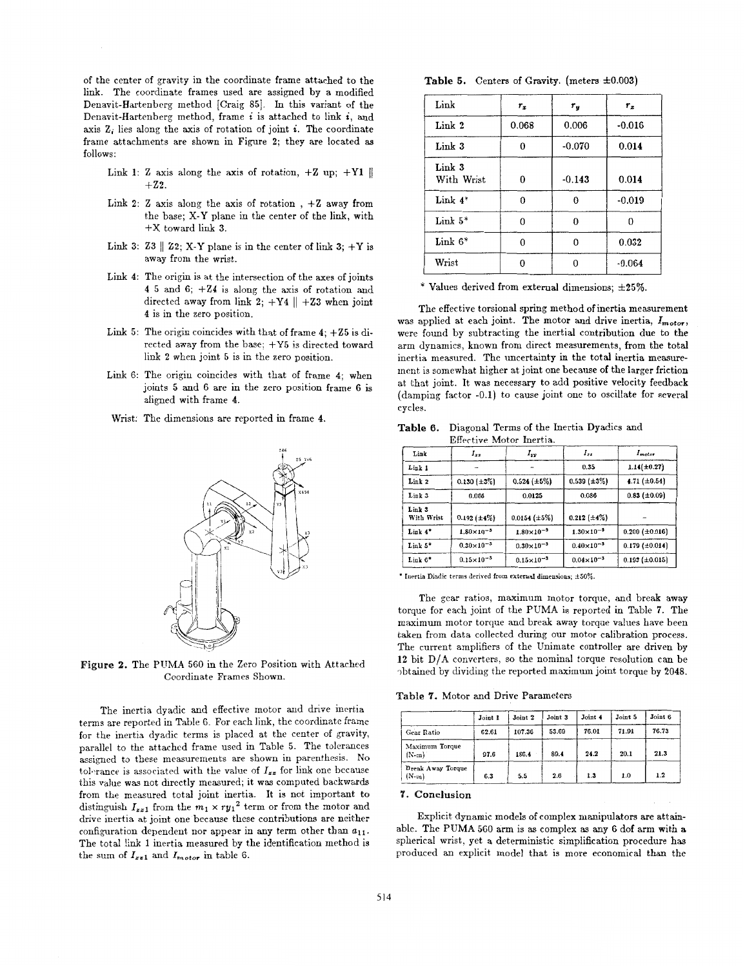of the center of gravity in the coordinate frame attached *to* the link. The coordinate frames used are assigned by a modified Denavit-Hartenberg method [Craig 85]. In this variant of the Denavit-Hartenberg method, frame *i* is attached to link *i,* and axis  $Z_i$  lies along the axis of rotation of joint  $i$ . The coordinate frame attachments are shown in Figure **2;** they are located **as**  follows:

- Link 1:  $\mathbb{Z}$  axis along the axis of rotation,  $+\mathbb{Z}$  up;  $+\mathbb{Y}1 \parallel$  $+Z2$ .
- Link **2:**  <sup>Z</sup>axis along the axis of rotation , **+Z** away from the base; **X-Y** plane in the center of the link, with **+X** toward link **3.**
- Link 3:  $\mathbb{Z}3 \parallel \mathbb{Z}2$ ; X-Y plane is in the center of link 3;  $+Y$  is away from the wrist.
- Link 4: The origin is at the intersection of the axes of joints 4 5 and 6; +24 is along the axis of rotation and directed away from link  $2$ ;  $+Y4$  ||  $+Z3$  when joint **4** is in the zero position.
- Link 5: The origin coincides with that of frame **4;** +Z5 is directed away from the base;  $+Y5$  is directed toward link **2** when joint 5 is in the zero position.
- Link 6: The origin coincides with that of frame **4;** when joints **5** and 6 are in the zero position frame 6 is aligned with frame **4.**
- Wrist: The dimensions are reported in frame 4.



**Figure 2.** The PUMA 560 in the Zero Position with Attached Coordinate Frames Shown.

The inertia dyadic and effective motor and drive inertia terms are reported in Table 6. For each link, the coordinate frame for the inertia dyadic terms is placed at the center of gravity, parallel to the attached frame used in Table 5. The tolerances assigned to these measurements are shown in parenthesis. No tolerance is associated with the value of  $I_{zz}$  for link one because this value was not dlrectly measured; it **was** computed backwards from the measured total joint inertia. It is not important to distinguish  $I_{zz1}$  from the  $m_1 \times ry_1^2$  term or from the motor and drive inertia at joint one because these contributions are neither configuration dependent nor appear in any term other than  $a_{11}$ . The total link 1 inertia measured by the identification method is the sum of  $I_{zz1}$  and  $I_{motor}$  in table 6.

|  |  |  |  | Table 5. Centers of Gravity. (meters $\pm 0.003$ ) |  |
|--|--|--|--|----------------------------------------------------|--|
|--|--|--|--|----------------------------------------------------|--|

| $_{\rm Link}$        | $r_x$        | $r_y$          | $r_z$    |
|----------------------|--------------|----------------|----------|
| Link 2               | 0.068        | 0.006          | $-0.016$ |
| Link 3               | $\bf{0}$     | $-0.070$       | 0.014    |
| Link 3<br>With Wrist | $\bf{0}$     | $-0.143$       | 0.014    |
| Link $4^*$           | $\mathbf{0}$ | $\bf{0}$       | $-0.019$ |
| Link $5^*$           | $\mathbf 0$  | $\bf{0}$       | $\bf{0}$ |
| Link $6*$            | $\theta$     | $\mathbf{0}$   | 0.032    |
| Wrist                | $\bf{0}$     | $\overline{0}$ | $-0.064$ |

\* Values derived from external dimensions; **&25%.** 

The effective torsional spring method of inertia measurement was applied at each joint. The motor and drive inertia,  $I_{motor}$ , were found by subtracting the inertial contribution due to the arm dynamics, known from direct measurements, from the total inertia measured. The uncertainty in the total inertia measurement is somewhat higher at joint one because of the larger friction at that joint. It was necessary to add positive velocity feedback (damping factor -0.1) to cause joint one to oscillate for several cycles.

| Link                 | $I_{xx}$                 | $I_{yy}$              | $I_{zz}$              | $I_{motor}$           |
|----------------------|--------------------------|-----------------------|-----------------------|-----------------------|
| Link 1               | $\overline{\phantom{a}}$ |                       | 0.35                  | $1.14(\pm0.27)$       |
| Link 2               | $0.130 \{\pm 3\%$        | $0.524 (\pm 5\%)$     | $0.539 \ (\pm 3\%)$   | 4.71 $(\pm 0.54)$     |
| Link 3               | 0.066                    | 0.0125                | 0.086                 | $0.83$ ( $\pm 0.09$ ) |
| Link 3<br>With Wrist | $0.192 \ (\pm 4\%)$      | $0.0154 \ (\pm 5\%)$  | $0.212~(\pm 4\%)$     |                       |
| Link 4*              | $1.80\times10^{-3}$      | $1.80\times10^{-3}$   | $1.30 \times 10^{-3}$ | $0.200 \ (\pm 0.016)$ |
| Link $5^*$           | $0.30 \times 10^{-5}$    | $0.30\times10^{-3}$   | $0.40 \times 10^{-3}$ | $0.179 \ (\pm 0.014)$ |
| $\text{Link }6^*$    | $0.15 \times 10^{-3}$    | $0.15 \times 10^{-5}$ | $0.04 \times 10^{-3}$ | $0.193 \ (\pm 0.015)$ |

**Table 6.** Diagonal Terms of the Inertia Dyadics and Effective Motor Inertia.

\* Inertia Diadic terms derived from external dimensions;  $\pm 50\%$ 

The gear ratios, maximum motor torque, and break away torque for each joint of the PUMA is reported in Table 7. The maximum motor torque and break away torque values have been taken from data collected during our motor calibration process. The current amplifiers of the Unimate controller are driven by **12** bit **D/A** converters, so the nominal torque resolution can be 7btained by dividing the reported maximum joint torque by **2048.** 

**Table** *7.* Motor and Drive Parametem

|                                     | Joint 1 | Joint 2 | Joint 3 | Joint 4 | Joint 5 | Joint 6 |
|-------------------------------------|---------|---------|---------|---------|---------|---------|
| Gear Ratio                          | 62.61   | 107.36  | 53.69   | 76.01   | 71.91   | 76.73   |
| Maximum Torque<br>$(N-m)$           | 97.6    | 186.4   | 89.4    | 24.2    | 20.1    | 21.3    |
| <b>Break Away Torque</b><br>$(N-m)$ | 6.3     | 5.5     | 2.6     | 1.3     | 1.0     | 1.2     |

## **7. Conclusiom**

Explicit dynamic models of complex manipulators are attainable. The **PUMA** 560 arm is as complex **as** any 6 dof arm with **a**  spherical wrist, yet a deterministic simplification procedure has produced an explicit model that is more economical than the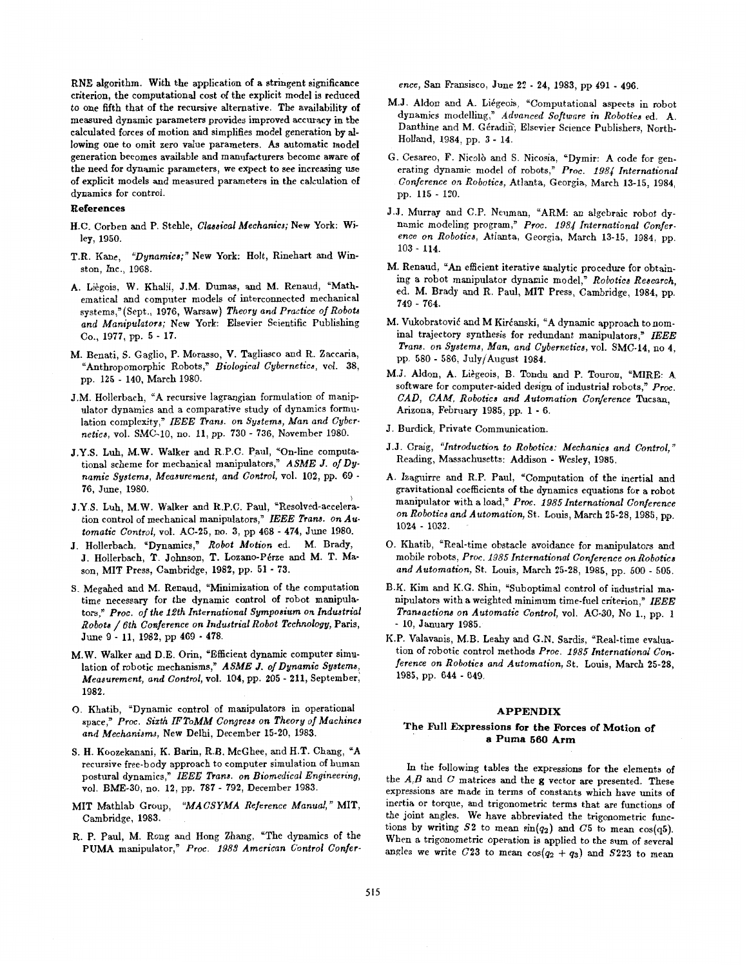RNE algorithm. With the application of a stringent significance criterion, the computational cost of the explicit model is reduced to one fifth that of the recursive alternative. The availability of measured dynamic parameters provides improved accuracy in the calculated forces of motion and simplifies model generation by allowing one to omit zero value parameters. As automatic model generation becomes available and manufacturers become aware of the need for dynamic parameters, we expect to see increasing use of explicit models and measured parameters in the calculation of dynamics for control.

## **References**

- H.C. Corben and P. Stehle, *Classical Mechanics;* New York: Wiley, **1950.**
- T.R. Kane, *"Dynamics;"* New York: Holt, Rinehart and Winston, Inc., **1968.**
- A. Li6gois. W. Khalil, J.M. Dumas, and **M.** Renaud, "Mathematical and computer models of interconnected mechanical systems,"(Sept., 1976, Warsaw) Theory and Practice of Robots *and Manipulators;* New York: Elsevier Scientific Publishing CO., **1977,** pp. **5** - **17.**
- M. Benati, S. Gaglio, P. Morasso, **V.** Tagliasco and R. Zaccaria, "Anthropomorphic Robots," *Biological Cybernetics,* vol. **38,**  pp. **125** - **140,** March **1980.**
- J.M. Hollerbach, "A recursive lagrangian formulation of manipulator dynamics and a comparative study of dynamics formulation complexity," *IEEE Trana. on Systems, Man and Cybernetica,* vol. SMC-IO, no. **11,** pp. **730** - **736,** November **1980.**
- J.Y.S. Luh, M.W. Walker and R.P.C. Paul, "On-line computational scheme for mechanical manipulators," *ASME J.* of **Dy***namic Systems, Measurement, and Control,* vol. **102,** pp. **69** - **76,** June, **1980.**
- J.Y.S. Luh, M.W. Walker and R.P.C. Paul, "Resolved-acceleration control of mechanical manipulators," *IEEE Trans. on Au. tomatic Control,* vol. **AC-25,** no. **3,** pp **468** - **474,** June **1980.**
- J. Hollerbach, "Dynamics," *Robot Motion* ed. M. Brady, J. Hollerbach, T. Johnson, T. Lozano-Pérze and M. T. Mason, MIT Press, Cambridge, **1982,** pp. **51** - **73.**
- **S.** Megahed and M. Renaud, "Minimization of the computation time necessary for the dynamic control of robot manipulators,\* *Proc. of the 12th International Symposium on Industrial Robots* / *6th Conference on Industrial Robot Technology,* Paris, June **9** - **11, 1982,** pp **469** - **478.**
- M.W. Walker and D.E. Orin, "Efficient dynamic computer simulation of robotic mechanisms," ASME J. of Dynamic Systems, *Mearurement, and Control,* vol. **104,** pp. **205** - **211,** September,' **1982.**
- 0. Khatib, "Dynamic control of manipulators in operational space," *Proc. Sizth IFToMM Congress on Theory* of *Machines and Mechanisms,* New Delhi, December **15-20, 1983.**
- S. H. Koozekanani, K. Barin, R.B. McGhee, and H.T. Chang, "A recursive free-body approach to computer simulation of human postural dynamics," IEEE Trans. on Biomedical Engineering, vol. BME-30, no. **12,** pp. **787** - **792,** December **1983.**
- MIT Mathlab Group, "MACSYMA Reference Manual," MIT, Cambridge, **1983.**
- R. P. Paul, M. Rong and Hong Zhang, "The dynamics of the PUMA manipulator," *Proc. 1983 American Control Confer-*

*ence,* San Fransisco, June **22** - **24, 1983,** pp **491** - **496.** 

- M.J. Aldon and A. Liégeois, "Computational aspects in robot dynamics modelling," *Advanced Software in Robotics* ed. A. Danthine and M. Géradin, Elsevier Science Publishers, North-Holland, **1984,** pp. **3** - **14.**
- G. Cesareo, F. Nicolb and S. Nicosia, "Dymir: A code for generating dynamic model of robots," Proc. 1984 International *Conference on Robotics,* Atlanta, Georgia, March **13-15, 1984,**  pp. **115** - **120.**
- J.J. Murray and C.P. Neuman, "ARM: an algebraic robot dynamic modeling program," Proc. *1984 International Conference on Robotics,* Atlanta, Georgia, March **13-15, 1984,** pp. **103** - **114.**
- M. Renaud, **"An** efficient iterative analytic procedure for obtaining a robot manipulator dynamic model," *Robotics Research,*  ed. M. Brady and R. Paul, MIT Press, Cambridge, **1984,** pp. **749** - **764.**
- M. Vukobratović and M Kirćanski, "A dynamic approach to nominal trajectory synthesis for redundant manipulators," *IEEE Trans. on Systems, Man, and Cybernetics,* vol. **SMC-14,** no **4,**  pp. **580** - **586!** July/August **1984.**
- M.J. Aldon, **A.** Liegeois, B. Tondu and P. Touron, "MIRE: **A**  software for computer-aided design of industrial robots," Proc. *CAD, CAM, Robotics and Automation Conference* Tucsan, Arizona, February **1985,** pp. **1** - **6.**
- J. Burdick, Private Communication.
- J.J. Craig, *"Introduction to Robotics: Mechanics and Control,"*  Reading, Massachusetts: Addison - Wesley, **1985.**
- A. Izagnirre and R.P. Paul, "Computation of the inertial and gravitational coefficients of the dynamics equations for a robot manipulator with a load," *Proc. 1985 International Conference on Robotics and Automation,* St. Louis, March **25-28, 1985,** pp. **1024** \* **1032.**
- 0. Khatib, "Real-time obstacle avoidance for manipulators and mobile robots, *Proc. 1985 International Conference on Robotics and Automation,* St. Louis, March **25-28, 1985,** pp. **500** - **505.**
- B.K. Kim and K.G. Shin, "Suboptimal control of industrial manipulators with a weighted minimum time-fuel criterion," *IEEE Transactions on Automatic Control,* vol. AC-30, No **l.,** pp. **<sup>1</sup>** - **10,** January **1985.**
- K.P. Valavanis, M.B. Leahy and G.N. Sardis, "Real-time evaluation of robotic control methods *Proc. 1985 International Gonference on Robotics and Automation,* St. Louis, March **25-28, 1985,** pp. **644** - **649.**

### **APPENDIX**

## **The fill Expressions for the Forces of Motion of a Puma** *660* **Arm**

In the following tables the expressions for the elements of the *A,B* and **C** matrices and the **g** vector are presented. These expressions are made in terms of constants which have units of inertia or torque, and trigonometric terms that are functions of the joint angles. We have abbreviated the trigonometric functions by writing  $52$  to mean  $\sin(q_2)$  and  $C5$  to mean  $\cos(q_5)$ . When a trigonometric operation is applied to the sum of several angles we write  $C23$  to mean  $cos(q_2 + q_3)$  and  $S223$  to mean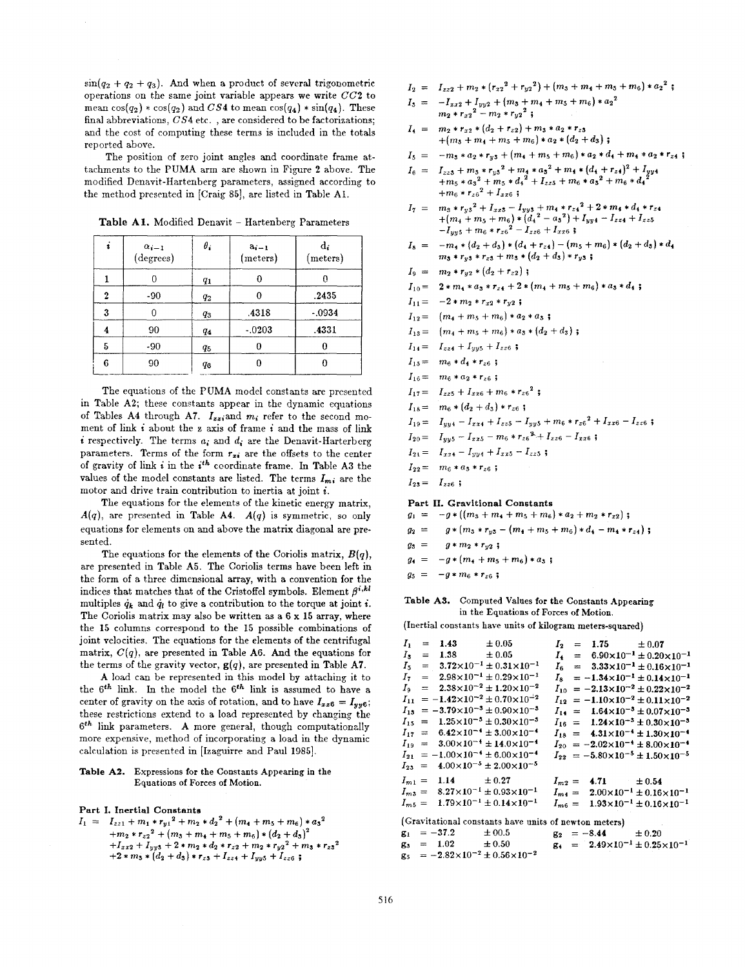$\sin(q_2 + q_2 + q_3)$ . And when a product of several trigonometric operations on the same joint variable appears we write **GG2** to mean  $cos(q_2) * cos(q_2)$  and  $CS4$  to mean  $cos(q_4) * sin(q_4)$ . These final abbreviations,  $CS4$  etc., are considered to be factorizations; and the cost of computing these terms is included in the totals reported above.

The position of zero joint angles and coordinate frame attachments to the **PUMA** arm are shown in Figure **2** above. The modified Denavit-Hartenberg parameters, assigned according to the method presented in [Craig 85], are listed in Table A1.

| ٠<br>t | $\alpha_{i-1}$<br>(degrees) | $\theta_i$ | $a_{i-1}$<br>(meters) | $\mathbf{d}_{\mathbf{i}}$<br>(meters) |
|--------|-----------------------------|------------|-----------------------|---------------------------------------|
|        | 0                           | $q_{1}$    | 0                     |                                       |
| 2      | $-90$                       | $q_2$      |                       | .2435                                 |
| 3      | ∩                           | $q_3$      | .4318                 | $-.0934$                              |
| 4      | 90                          | 94         | $-0.203$              | .4331                                 |
| 5      | $-90-$                      | $q_{5}$    |                       | O                                     |
| 6      | 90                          | qв         |                       |                                       |

Table A1. Modified Denavit - Hartenberg Parameters

The equations of the **PUMA** model constants are presented in Table A2; these constants appear in the dynamic equations of Tables A4 through A7.  $I_{zz}$ ;and  $m_i$ ; refer to the second moment of link *i* about the **z** axis of frame *i* and the mass of link *i* respectively. The terms  $a_i$  and  $d_i$  are the Denavit-Harterberg parameters. Terms of the form  $r_{xi}$  are the offsets to the center of gravity of link *i* in the *ith* coordinate frame. **In** Table **A3** the values of the model constants are listed. The terms  $I_{m,i}$  are the motor and drive train contribution to inertia at joint *i.* 

The equations for the elements of the kinetic energy matrix,  $A(q)$ , are presented in Table A4.  $A(q)$  is symmetric, so only equations for elements on and above the matrix diagonal are presented.

The equations for the elements of the Coriolis matrix, *B(q),*  are presented in Table **A5.** The Coriolis terms have been left in the form of a three dimensional array, with a convention **for** the indices that matches that of the Cristoffel symbols. Element  $\beta^{i,kl}$ multiples  $\dot{q}_k$  and  $\dot{q}_l$  to give a contribution to the torque at joint *i*. The Coriolis matrix may also be written as a 6 **x 15** array, where the **15** columns correspond to the **15** possible combinations of joint velocities. The equations for the elements of the centrifugal matrix, *C(q),* are presented in Table **A6.** And the equations for the terms of the gravity vector,  $g(q)$ , are presented in Table A7.

**A** load can be represented in this model by attaching it to the *gfh* link. In the model the *6'h* link is assumed to have a center of gravity on the axis of rotation, and to have  $I_{xz6} = I_{yy6}$ ; these restrictions extend to a load represented by changing the *6'h* link parameters. **A** more general, though computationclly more expensive, method of incorporating a load in the dynamic calculation is presented in [Izaguirre and Paul 1985].

## **Table A2.** Expressions for the Constants Appearing in the Equations of Forces of Motion.

### **Part I. Inertial Constants**

 $I_1 = I_{zz1} + m_1 * r_{y1}^2 + m_2 * d_2^2 + (m_4 + m_5 + m_6) * a_3^2$  $+m_2 * r_{z2}^2 + (m_3 + m_4 + m_5 + m_6) * (d_2 + d_3)^2$  $+I_{xx2} + I_{yy3} + 2 * m_2 * d_2 * r_{z2} + m_2 * r_{y2}^2 + m_3 * r_{z3}^2$  $+2 * m_3 * (d_2 + d_3) * r_{z3} + I_{zz4} + I_{yy5} + I_{zz6}$ ;

- $I_2 = I_{zz2} + m_2 * (r_{x2}^2 + r_{y2}^2) + (m_3 + m_4 + m_5 + m_6) * a_2^2;$
- $I_3 = -I_{xx2} + I_{yy2} + (m_3 + m_4 + m_5 + m_6) * a_2^2$  $m_2*r_{x2}^2-m_2*r_{y2}^2;$
- $I_4 = m_2*r_{x2}*(d_2+r_{z2})+m_5*a_2*r_{z3}$  $+(m_3+m_4+m_5+m_6)*a_2*(d_2+d_3);$
- $I_5 = -m_3 * a_2 * r_{3} + (m_4 + m_5 + m_6) * a_2 * d_4 + m_4 * a_2 * r_{4}$ ;
- $I_6 = I_{zz5} + m_5 * r_{y5}^2 + m_4 * a_5^2 + m_4 * (d_4 + r_{z4})^2 + I_{yy4}$ <br>+ $m_5 * a_5^2 + m_5 * d_4^2 + I_{zz5} + m_6 * a_5^2 + m_6 * d_4^2$ <br>+ $m_6 * r_{z6}^2 + I_{zz6}$ ;
- $I_7 =$   $m_3 * r_{y3}^2 + I_{xz5} I_{yy5} + m_4 * r_{z4}^2 + 2 * m_4 * d_4 * r_{z4}$ <br>  $+ (m_4 + m_5 + m_6) * (d_4^2 a_3^2) + I_{yy4} I_{zz4} + I_{zz5}$ <br>  $-I_{yy5} + m_6 * r_{z6}^2 I_{zz6} + I_{zz6}$ ;
- $I_8 = -m_4 * (d_2 + d_3) * (d_4 + r_{24}) (m_5 + m_6) * (d_2 + d_3) * d_4$  $m_3 * r_{y3} * r_{z3} + m_3 * (d_2 + d_3) * r_{y3}$ ;
- $I_9 = m_2 * r_{v2} * (d_2 + r_{z2})$ ;
- $I_{10} = 2 * m_1 * a_3 * r_{24} + 2 * (m_4 + m_5 + m_6) * a_3 * d_4;$
- $I_{11} = -2 * m_2 * r_{x2} * r_{y2}$ ;
- $I_{12} = (m_4 + m_5 + m_6) * a_2 * a_3;$
- $I_{13} = (m_4 + m_5 + m_6) * a_3 * (d_2 + d_3);$
- $I_{14} = I_{zz4} + I_{yy5} + I_{zz6}$ ;
- $I_{15} = m_6 * d_4 * r_{26}$ ;
- $I_{16} = m_6 * a_2 * r_{26}$ ;
- $I_{17} = I_{zz5} + I_{xx6} + m_6 * r_{z6}^2;$
- $I_{18} = m_6 * (d_2 + d_3) * r_{z6}$ ;
- $I_{19} = I_{yy4} I_{xx4} + I_{zz5} I_{yy5} + m_6 * r_{z6}^2 + I_{xx6} I_{zz6}$ ;
- $I_{20} = I_{yy5} I_{xx5} m_6 * r_{z6}^3 + I_{zz6} I_{xx6}$ ;
- $I_{21} = I_{xx4} I_{yy4} + I_{xx5} I_{zz5}$ ;
- $I_{22} = -m_6 * a_3 * r_{z6}$ ;
- $I_{23} = I_{zz6}$ ;
- 
- **Part 11. Gravitional Constants**   $g_1 = -g * ((m_3 + m_4 + m_5 + m_6) * a_2 + m_2 * r_{x2});$
- $g_2 = g * (m_3 * r_{y3} (m_4 + m_5 + m_6) * d_4 m_4 * r_{z4});$
- $g_3 = g * m_2 * r_{y2}$ ;
- $g_4 = -g*(m_4+m_5+m_6)*a_3;$
- $g_5 = -g * m_6 * r_{z6}$ ;

## **Table AS.** Computed Values for the Constants Appearing in the Equations of Forces of Motion.

(Inertial constants have units of kilogram meters-squared)

| Ι.                                                    |             | $= 1.43 + 0.05$ |                                                           |            |  | $I_2 = 1.75 \pm 0.07$ |                                                         |  |
|-------------------------------------------------------|-------------|-----------------|-----------------------------------------------------------|------------|--|-----------------------|---------------------------------------------------------|--|
|                                                       | $I_3 =$     | $1.38 \pm 0.05$ |                                                           |            |  |                       | $I_4 = 6.90 \times 10^{-1} \pm 0.20 \times 10^{-1}$     |  |
| I.                                                    |             |                 | $= 3.72 \times 10^{-1} \pm 0.31 \times 10^{-1}$           |            |  |                       | $I_6 = 3.33 \times 10^{-1} \pm 0.16 \times 10^{-1}$     |  |
| Ιт.                                                   |             |                 | $= 2.98 \times 10^{-1} \pm 0.29 \times 10^{-1}$           |            |  |                       | $I_8 = -1.34 \times 10^{-1} \pm 0.14 \times 10^{-1}$    |  |
| $I_{\alpha}$                                          |             |                 | $= 2.38 \times 10^{-2} \pm 1.20 \times 10^{-2}$           |            |  |                       | $I_{10} = -2.13 \times 10^{-2} \pm 0.22 \times 10^{-2}$ |  |
|                                                       |             |                 | $I_{11} = -1.42 \times 10^{-2} \pm 0.70 \times 10^{-2}$   |            |  |                       | $I_{12} = -1.10 \times 10^{-2} \pm 0.11 \times 10^{-2}$ |  |
|                                                       |             |                 | $I_{13}$ = -3.79×10 <sup>-3</sup> ± 0.90×10 <sup>-3</sup> |            |  |                       | $I_{14} = 1.64 \times 10^{-3} \pm 0.07 \times 10^{-3}$  |  |
|                                                       |             |                 | $I_{15} = 1.25 \times 10^{-5} \pm 0.30 \times 10^{-3}$    |            |  |                       | $I_{16} = 1.24 \times 10^{-3} \pm 0.30 \times 10^{-3}$  |  |
|                                                       |             |                 | $I_{17} = 6.42 \times 10^{-4} \pm 3.00 \times 10^{-4}$    |            |  |                       | $I_{18} = 4.31 \times 10^{-4} \pm 1.30 \times 10^{-4}$  |  |
|                                                       |             |                 | $I_{19}$ = 3.00×10 <sup>-4</sup> ± 14.0×10 <sup>-4</sup>  |            |  |                       | $I_{20} = -2.02 \times 10^{-4} \pm 8.00 \times 10^{-4}$ |  |
|                                                       |             |                 | $I_{21} = -1.00 \times 10^{-4} \pm 6.00 \times 10^{-4}$   |            |  |                       | $I_{22} = -5.80 \times 10^{-5} \pm 1.50 \times 10^{-5}$ |  |
|                                                       |             |                 | $I_{25} = 4.00 \times 10^{-5} \pm 2.00 \times 10^{-5}$    |            |  |                       |                                                         |  |
| $I_{m1} =$                                            |             | 1.14 $\pm 0.27$ |                                                           | $I_{m2} =$ |  | 4.71 $\pm 0.54$       |                                                         |  |
|                                                       |             |                 | $I_{m3} = 8.27 \times 10^{-1} \pm 0.93 \times 10^{-1}$    |            |  |                       | $I_{m4} = 2.00 \times 10^{-1} \pm 0.16 \times 10^{-1}$  |  |
|                                                       | $I_{m,5} =$ |                 | $1.79\times10^{-1} \pm 0.14\times10^{-1}$                 |            |  |                       | $I_{m6} = 1.93 \times 10^{-1} \pm 0.16 \times 10^{-1}$  |  |
|                                                       |             |                 |                                                           |            |  |                       |                                                         |  |
| (Gravitational constants have units of newton meters) |             |                 |                                                           |            |  |                       |                                                         |  |
| g,                                                    |             |                 | $= -37.2$ $\pm 00.5$ $g_2 = -8.44$ $\pm 0.20$             |            |  |                       |                                                         |  |
|                                                       |             |                 | $g_3 = 1.02 \pm 0.50$                                     |            |  |                       | $g_4 = 2.49 \times 10^{-1} \pm 0.25 \times 10^{-1}$     |  |
|                                                       |             |                 | $g_5 = -2.82 \times 10^{-2} \pm 0.56 \times 10^{-2}$      |            |  |                       |                                                         |  |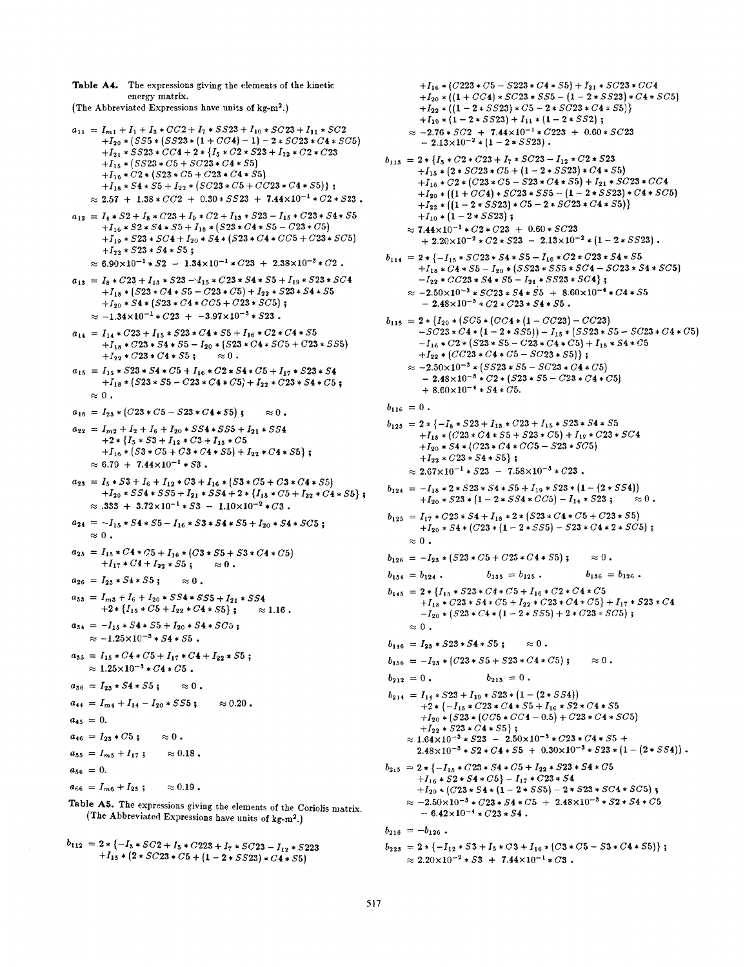Table A4. The expressions giving the elements of the kinetic energy matrix. (The Abbreviated Expressions have units of kg-m<sup>2</sup>.)

- $a_{11} = I_{m1} + I_1 + I_3 * CC2 + I_7 * SS23 + I_{10} * SC23 + I_{11} * SC2$  $+I_{20} * (SS5 * (SS23 * (1 + CC4) - 1) - 2 * SC23 * C4 * SC5)$  $+I_{21} * SS23 * CC4 + 2 * {I_5 * C2 * S23 + I_{12} * C2 * C23}$ + $I_{15}$  \* (SS23 \* C5 + SC23 \* C4 \* S5) + $I_{16}$  \*  $C2$  \* (S23 \*  $C5$  +  $C23$  \*  $C4$  \* S5)  $+I_{18} * S4 * S5 + I_{22} * (SC23 * C5 + CC23 * C4 * S5);$  $\approx 2.57 + 1.38 * CC2 + 0.30 * SS23 + 7.44 \times 10^{-1} * C2 * S23$ .
- $a_{12} = I_4 * S2 + I_8 * C23 + I_9 * C2 + I_{13} * S23 I_{15} * C23 * S4 * S5$  $+I_{16} * S2 * S4 * S5 + I_{18} * (S23 * C4 * S5 - C23 * C5)$  $+I_{19} * S23 * SC4 + I_{20} * S4 * (S23 * C4 * CC5 + C23 * SC5)$  $+I_{22} * S23 * S4 * S5;$  $\approx 6.90 \times 10^{-1} * S2 - 1.34 \times 10^{-1} * C23 + 2.38 \times 10^{-2} * C2$ .
- $a_{13}$  =  $I_8 * C23 + I_{13} * S23 I_{15} * C23 * S4 * S5 + I_{19} * S23 * SC4$  $+I_{18}$  \* (S23 \* C4 \* S5 - C23 \* C5) +  $I_{22}$  \* S23 \* S4 \* S5 + $I_{20}$  \*  $S4$  \*  $(S23 * C4 * CC5 + C23 * SC5)$ ;  $\approx -1.34 \times 10^{-1} * C23 + -3.97 \times 10^{-3} * S23$
- $a_{14} = I_{14} * C23 + I_{15} * S23 * C4 * S5 + I_{16} * C2 * C4 * S5$  $+I_{18} * C23 * S4 * S5 - I_{20} * (S23 * C4 * SC5 + C23 * S55)$  $+I_{22} * C23 * C4 * S5;$  $\approx 0$  .
- $a_{15} = I_{15} * S23 * S4 * C5 + I_{16} * C2 * S4 * C5 + I_{17} * S23 * S4$  $+I_{18} * (523 * 55 - C23 * C4 * C5) + I_{22} * C23 * S4 * C5;$  $\approx 0$ .
- $a_{16} = I_{23} * (C23 * C5 S23 * C4 * S5);$  $\approx 0$  .
- $a_{22} = I_{m2} + I_2 + I_6 + I_{20} * SS4 * SS5 + I_{21} * SS4$  $+2 * \{I_5 * S_3 + I_{12} * C_3 + I_{15} * C_5$ + $I_{16}$  \* (S3 \* C5 + C3 \* C4 \* S5) +  $I_{22}$  \* C4 \* S5);  $\approx 6.79 + 7.44 \times 10^{-1} * S3$ .
- $a_{23} = I_5 * S_3 + I_6 + I_{12} * C_3 + I_{16} * (S_3 * C_5 + C_3 * C_4 * S_5)$  $+I_{20}$  \* SS4 \* SS5 +  $I_{21}$  \* SS4 + 2 \* { $I_{15}$  \* C5 +  $I_{22}$  \* C4 \* S5};  $\approx$  .333 + 3.72×10<sup>-1</sup> \* 53 - 1.10×10<sup>-2</sup> \* C3.
- $a_{24} = -I_{15} * S4 * S5 I_{16} * S3 * S4 * S5 + I_{20} * S4 * SCS;$  $\approx 0$ .
- $a_{25} = I_{15} * C4 * C5 + I_{16} * (C3 * S5 + S3 * C4 * C5)$  $+I_{17} * C4 + I_{22} * S5$ ;  $\approx 0$ .
- $a_{26} = I_{23} * 54 * 55;$
- $a_{33} = I_{m3} + I_6 + I_{20} * SS4 * SS5 + I_{21} * SS4$  $+2*[I_{15}*C5+I_{22}*C4*S5];$  $\approx 1.16$ .
- $a_{34} = -I_{15} * S4 * S5 + I_{20} * S4 * SCS;$  $\approx -1.25 \times 10^{-3} * S4 * S5$ .
- $a_{35} = I_{15} * C4 * C5 + I_{17} * C4 + I_{22} * S5;$  $\approx 1.25 \times 10^{-3} * C4 * C5$ .
- $a_{36} = I_{23} * S4 * S5;$  $\approx 0$  .
- $a_{44} = I_{m4} + I_{14} I_{20} * S S 5;$  $\approx 0.20$  .
- $a_{45} = 0.$
- $a_{46} = I_{23} * C5;$  $\approx 0$ .
- $a_{55} = I_{m5} + I_{17}$ ;  $\approx 0.18$  .
- $a_{56} = 0.$
- $a_{66} = I_{m6} + I_{23}$ ;  $\approx 0.19$ .
- Table A5. The expressions giving the elements of the Coriolis matrix. (The Abbreviated Expressions have units of kg-m<sup>2</sup>.)
- $b_{112}$  = 2 \* {  $-I_3$  \*  $SC2 + I_5$  \*  $C223 + I_7$  \*  $SC23 I_{12}$  \*  $S223$ + $I_{15}$  + (2 \*  $SC23$  \*  $C5$  + (1 – 2 \*  $SS23$ ) \*  $C4$  \*  $S5$ )

 $+I_{16} * (C223*C5 - S223*C4 * S5) + I_{21} * SC23*CC4$  $+I_{20} * ((1+CC4)*SC23 * S55 - (1-2*SS23)*C4 * SC5)$  $+I_{22} * ((1 - 2 * SS23) * C5 - 2 * SC23 * C4 * SS)$  $+I_{10} * (1 - 2 * SS23) + I_{11} * (1 - 2 * SS2);$  $\approx -2.76 * SC2 + 7.44 \times 10^{-1} * C223 + 0.60 * SC23$  $-2.13\times10^{-2} * (1-2*5523)$ .  $b_{113}$  = 2 \* { $I_5 * C2 * C23 + I_7 * SC23 - I_{12} * C2 * S23$  $+I_{15} * (2 * SC23 * C5 + (1 - 2 * SS23) * C4 * S5)$ + $I_{16}$  \*  $C2$  \*  $(C23*C5 - S23*C4 * S5) + I_{21} * SC23*C64$  $+I_{20} * (1 + CC4) * SC23 * SS5 - (1 - 2 * SS23) * C4 * SC5)$  $+I_{22} * ((1 - 2 * S S 23) * C5 - 2 * S C 23 * C 4 * S 5))$  $+I_{10} * (1 - 2 * SS23);$  $\approx 7.44 \times 10^{-1} * C2 * C23 + 0.60 * SC23$  $+ 2.20 \times 10^{-2} * C2 * S23 - 2.13 \times 10^{-2} * (1 - 2 * S523).$  $b_{114}$  = 2 \* {- $I_{15}$  \*  $SC23$  \*  $S4$  \*  $S5 - I_{16}$  \*  $C2$  \*  $C23$  \*  $S4$  \*  $S5$  $+I_{18}$  \*  $C4$  \*  $S5 - I_{20}$  \*  $(SS23 * S55 * SC4 - SC23 * S4 * SC5)$  $-I_{22} * CC23 * S4 * S5 - I_{21} * SS23 * SC4;$  $\approx$  -2.50×10<sup>-3</sup> \*  $SC23 * S4 * S5 + 8.60 \times 10^{-4} * C4 * S5$  $-2.48\times10^{-3} * C2 * C23 * S4 * S5$ .  $b_{115} = 2 * \{I_{20} * (SC5 * (CC4 * (1 - CC23) - CC23)$  $-SC23*C4*(1-2*S55)) - I_{15}*(SS23*S5 - SC23*C4*C5)$  $-I_{16}$  \*  $C2$  \*  $(S23 * S5 - C23 * C4 * C5) + I_{18} * S4 * C5$  $+I_{22} * (CC23*C4*C5 - SC23 * S5)$ ;  $\approx -2.50 \times 10^{-3} * (SS23 * S5 - SC23 * C4 * C5)$  $-2.48\times10^{-3}\times C2*(523*55-C23*C4*C5)$  $+8.60\times10^{-4}*54*C5.$  $b_{116} = 0$ .  $b_{125}$  = 2 \* {- $I_8$  \* 523 +  $I_{15}$  \*  $C23$  +  $I_{15}$  \* 523 \* 54 \* 55 + $I_{18}$  \* (C23 \* C4 \* S5 + S23 \* C5) +  $I_{19}$  \* C23 \* SC4  $+I_{20}$  \*  $S4$  \*  $(C23$  \*  $C4$  \*  $CC5 - S23$  \*  $SC5)$  $+I_{22} * C23 * S4 * S5;$  $\approx 2.67 \times 10^{-1} * S23 - 7.58 \times 10^{-3} * C23$ .  $b_{124} = -I_{18} * 2 * 523 * 54 * 55 + I_{19} * 523 * (1 - (2 * 554))$  $+I_{20}$  \* 523 \* (1 – 2 \* 554 \* CC5) –  $I_{14}$  \* 523;  $\approx 0$  .  $b_{125} = I_{17} * C23 * S4 + I_{18} * 2 * (S23 * C4 * C5 + C23 * S5)$  $+I_{20}$  \* 54 \* (C23 \* (1 - 2 \* 555) - 523 \* C4 \* 2 \* 5C5);  $\approx 0$ .  $b_{126} = -I_{23} * (523 * C5 + C23 * C4 * S5);$  $\approx 0$ .  $b_{134} = b_{124}$ .  $b_{135} = b_{125}$ .  $b_{136} = b_{126}$ .  $b_{145}$  = 2 \* { $I_{15}$  \* S23 \* C4 \* C5 +  $I_{16}$  \* C2 \* C4 \* C5 + $I_{18}$  \*  $C23$  \*  $S4$  \*  $C5$  +  $I_{22}$  \*  $C23$  \*  $C4$  \*  $C5$ } +  $I_{17}$  \*  $S23$  \*  $C4$  $-I_{20}$  \* (523 \*  $C4$  \* (1 - 2 \* 555) + 2 \*  $C23$  \*  $SC5$ );  $\approx 0$ .  $b_{146} = I_{23} * S23 * S4 * S5;$  $\approx 0$ .  $b_{156} = -I_{25} * (C23 * S5 + S23 * C4 * C5);$  $\approx 0$ .  $b_{212} = 0$ .  $b_{213} = 0$ .  $b_{214} = I_{14} * S23 + I_{19} * S23 * (1 - (2 * S54))$  $+2*\{-I_{15}*C23*C4*S5+I_{16}*S2*C4*S5$ + $I_{20}$  \* (S23 \* (CC5 \* CC4 - 0.5) + C23 \* C4 \* SC5)  $+I_{22} * S23 * C4 * S5;$  $\approx 1.64 \times 10^{-3} * S23 - 2.50 \times 10^{-3} * C23 * C4 * S5 +$  $2.48 \times 10^{-3} * 52 * C4 * 55 + 0.30 \times 10^{-3} * 523 * (1 - (2 * 554))$ .  $b_{215}$  = 2 \* {- $I_{15}$  \*  $C23$  \*  $S4$  \*  $C5 + I_{22}$  \*  $S23$  \*  $S4$  \*  $C5$  $+I_{16} * S2 * S4 * C5$  -  $I_{17} * C23 * S4$ + $I_{20}$  \* (C23 \* S4 \* (1 - 2 \* SS5) - 2 \* S23 \* SC4 \* SC5);  $\approx -2.50 \times 10^{-3} * C23 * S4 * C5 + 2.48 \times 10^{-3} * S2 * S4 * C5$  $-6.42\times10^{-4} * C23 * 54.$  $b_{216} = -b_{126}$ .  $b_{223}$  = 2 \* {- $I_{12}$  \* 53 +  $I_5$  \* C3 +  $I_{16}$  \* (C3 \* C5 - 53 \* C4 \* 55)};  $\approx 2.20 \times 10^{-2} * S3 + 7.44 \times 10^{-1} * C3$ .